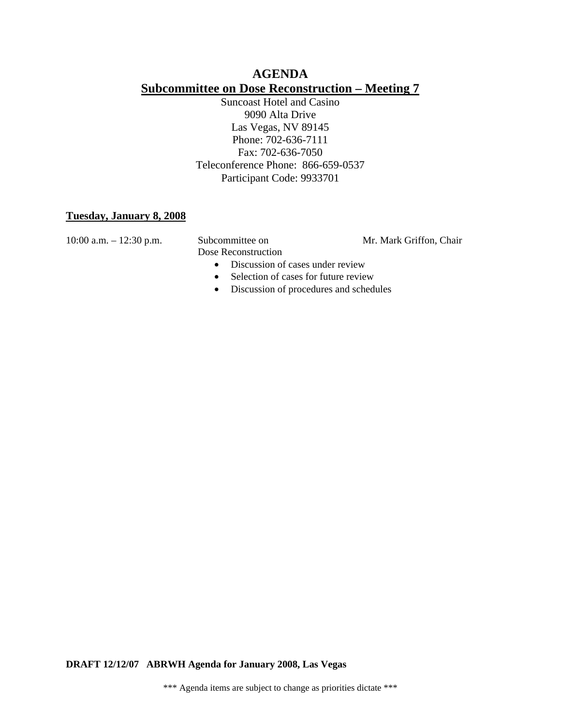# **AGENDA Subcommittee on Dose Reconstruction – Meeting 7**

Suncoast Hotel and Casino 9090 Alta Drive Las Vegas, NV 89145 Phone: 702-636-7111 Fax: 702-636-7050 Teleconference Phone: 866-659-0537 Participant Code: 9933701

### **Tuesday, January 8, 2008**

Dose Reconstruction

- 10:00 a.m. 12:30 p.m. Subcommittee on Mr. Mark Griffon, Chair
	- Discussion of cases under review
	- Selection of cases for future review
	- Discussion of procedures and schedules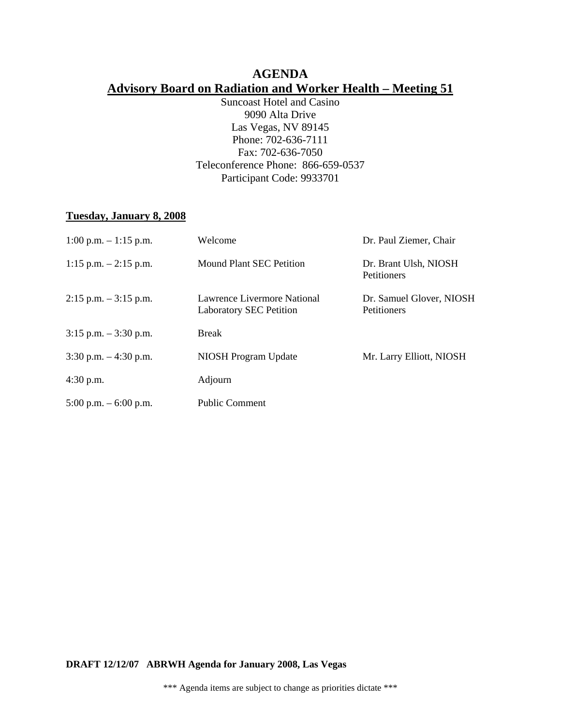# **AGENDA Advisory Board on Radiation and Worker Health – Meeting 51**

Suncoast Hotel and Casino 9090 Alta Drive Las Vegas, NV 89145 Phone: 702-636-7111 Fax: 702-636-7050 Teleconference Phone: 866-659-0537 Participant Code: 9933701

## **Tuesday, January 8, 2008**

| $1:00$ p.m. $-1:15$ p.m. | Welcome                                                       | Dr. Paul Ziemer, Chair                      |
|--------------------------|---------------------------------------------------------------|---------------------------------------------|
| 1:15 p.m. $-2:15$ p.m.   | Mound Plant SEC Petition                                      | Dr. Brant Ulsh, NIOSH<br><b>Petitioners</b> |
| $2:15$ p.m. $-3:15$ p.m. | Lawrence Livermore National<br><b>Laboratory SEC Petition</b> | Dr. Samuel Glover, NIOSH<br>Petitioners     |
| $3:15$ p.m. $-3:30$ p.m. | <b>Break</b>                                                  |                                             |
| 3:30 p.m. $-4:30$ p.m.   | NIOSH Program Update                                          | Mr. Larry Elliott, NIOSH                    |
| $4:30$ p.m.              | Adjourn                                                       |                                             |
| $5:00$ p.m. $-6:00$ p.m. | <b>Public Comment</b>                                         |                                             |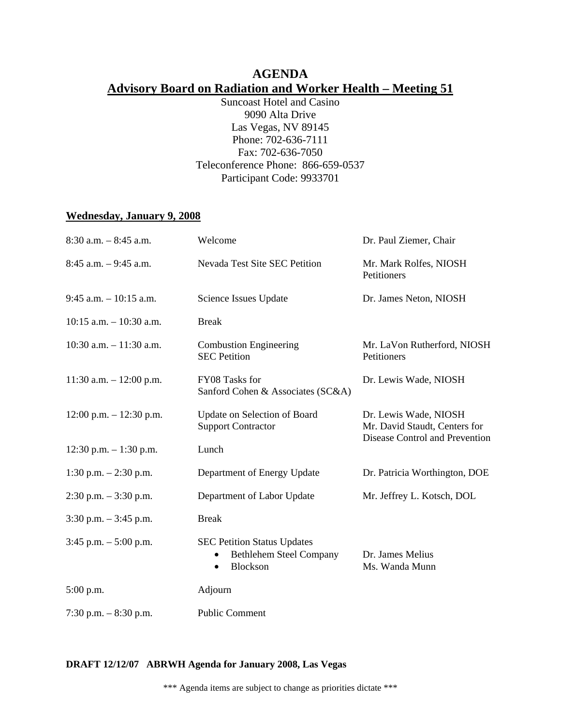# **AGENDA Advisory Board on Radiation and Worker Health – Meeting 51**

Suncoast Hotel and Casino 9090 Alta Drive Las Vegas, NV 89145 Phone: 702-636-7111 Fax: 702-636-7050 Teleconference Phone: 866-659-0537 Participant Code: 9933701

#### **Wednesday, January 9, 2008**

| $8:30$ a.m. $-8:45$ a.m.   | Welcome                                                                                       | Dr. Paul Ziemer, Chair                                                                   |
|----------------------------|-----------------------------------------------------------------------------------------------|------------------------------------------------------------------------------------------|
| $8:45$ a.m. $-9:45$ a.m.   | Nevada Test Site SEC Petition                                                                 | Mr. Mark Rolfes, NIOSH<br>Petitioners                                                    |
| $9:45$ a.m. $-10:15$ a.m.  | Science Issues Update                                                                         | Dr. James Neton, NIOSH                                                                   |
| $10:15$ a.m. $-10:30$ a.m. | <b>Break</b>                                                                                  |                                                                                          |
| $10:30$ a.m. $-11:30$ a.m. | <b>Combustion Engineering</b><br><b>SEC Petition</b>                                          | Mr. LaVon Rutherford, NIOSH<br>Petitioners                                               |
| $11:30$ a.m. $-12:00$ p.m. | FY08 Tasks for<br>Sanford Cohen & Associates (SC&A)                                           | Dr. Lewis Wade, NIOSH                                                                    |
| $12:00$ p.m. $-12:30$ p.m. | Update on Selection of Board<br><b>Support Contractor</b>                                     | Dr. Lewis Wade, NIOSH<br>Mr. David Staudt, Centers for<br>Disease Control and Prevention |
| 12:30 p.m. $-1:30$ p.m.    | Lunch                                                                                         |                                                                                          |
| 1:30 p.m. $- 2:30$ p.m.    | Department of Energy Update                                                                   | Dr. Patricia Worthington, DOE                                                            |
| $2:30$ p.m. $-3:30$ p.m.   | Department of Labor Update                                                                    | Mr. Jeffrey L. Kotsch, DOL                                                               |
| $3:30$ p.m. $-3:45$ p.m.   | <b>Break</b>                                                                                  |                                                                                          |
| $3:45$ p.m. $-5:00$ p.m.   | <b>SEC Petition Status Updates</b><br><b>Bethlehem Steel Company</b><br>Blockson<br>$\bullet$ | Dr. James Melius<br>Ms. Wanda Munn                                                       |
| 5:00 p.m.                  | Adjourn                                                                                       |                                                                                          |
| 7:30 p.m. $-8:30$ p.m.     | <b>Public Comment</b>                                                                         |                                                                                          |